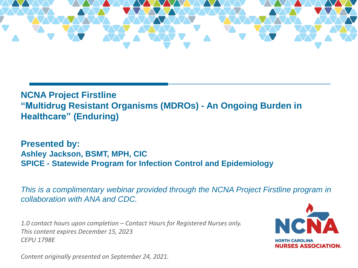

#### **NCNA Project Firstline "Multidrug Resistant Organisms (MDROs) - An Ongoing Burden in Healthcare" (Enduring)**

**Presented by: Ashley Jackson, BSMT, MPH, CIC SPICE - Statewide Program for Infection Control and Epidemiology**

*This is a complimentary webinar provided through the NCNA Project Firstline program in collaboration with ANA and CDC.*

*1.0 contact hours upon completion – Contact Hours for Registered Nurses only. This content expires December 15, 2023 CEPU 1798E*



*Content originally presented on September 24, 2021.*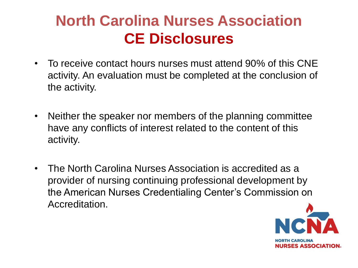# **North Carolina Nurses Association CE Disclosures**

- To receive contact hours nurses must attend 90% of this CNE activity. An evaluation must be completed at the conclusion of the activity.
- Neither the speaker nor members of the planning committee have any conflicts of interest related to the content of this activity.
- The North Carolina Nurses Association is accredited as a provider of nursing continuing professional development by the American Nurses Credentialing Center's Commission on Accreditation.

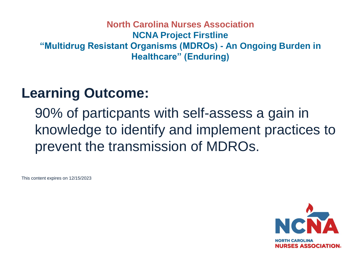#### **North Carolina Nurses Association NCNA Project Firstline "Multidrug Resistant Organisms (MDROs) - An Ongoing Burden in Healthcare" (Enduring)**

## **Learning Outcome:**

90% of particpants with self-assess a gain in knowledge to identify and implement practices to prevent the transmission of MDROs.

This content expires on 12/15/2023

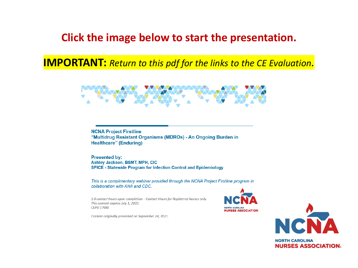### **Click the image below to start the presentation.**

**IMPORTANT:** *Return to this pdf for the links to the CE Evaluation.*



**NCNA Project Firstline** "Multidrug Resistant Organisms (MDROs) - An Ongoing Burden in **Healthcare" (Enduring)** 

**Presented by:** Ashley Jackson, BSMT, MPH, CIC **SPICE - Statewide Program for Infection Control and Epidemiology** 

This is a complimentary webinar provided through the NCNA Project Firstline program in collaboration with ANA and CDC.

1.0 contact hours upon completion - Contact Hours for Registered Nurses only. This content expires July 1, 2022. **CEPU 1798E** 



**NORTH CAROLINA NURSES ASSOCIATION.** 

Content originally presented on September 24, 2021.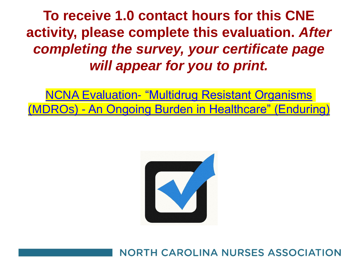**To receive 1.0 contact hours for this CNE activity, please complete this evaluation.** *After completing the survey, your certificate page will appear for you to print.* 

NCNA Evaluation- "Multidrug Resistant Organisms (MDROs) - [An Ongoing Burden in Healthcare" \(Enduring\)](https://www.surveymonkey.com/r/WB5SHCV)



**NORTH CAROLINA NURSES ASSOCIATION**